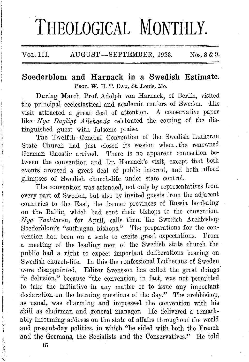# THEOLOGICAL MONTHLY.

# Vol. III.  $\qquad$  AUGUST-SEPTEMBER, 1923. Nos. 8 & 9.

## **Soederblom and Harnack in a Swedish Estimate.**  PROF. W. H. T. DAU, St. Louis, Mo.

During March Pro£. Adolph von Harnack, of Berlin, visited the principal ecclesiastical and academic centers of Sweden. His visit attracted a great deal of attention. A conservative paper like *Nya· Dagligt Allehanda* celebrated the coming of the distinguished guest with fulsome praise.

The Twelfth General Convention of the Swedish Lutheran State Church had just closed its session when the renowned German Gnostic arrived. There is no apparent connection between the convention and Dr. Harnack's visit, except that both events aroused a great deal of public interest, and both afford glimpses of Swedish church-life under state control.

The convention was attended, not only by representatives from every part of Sweden, but also by invited guests from the adjacent countries to the East, the former provinces of Russia bordering on the Baltic, which had sent their bishops to the convention. *Nya Vaelctaren,* for April, calls them the Swedish Archbishop Soederblom's "suffragan bishops." The preparations for the convention had been on a scale to excite great expectations. From a meeting of the leading men of the Swedish state church the public had a right to expect important deliberations bearing on Swedish church-life. In this the confessional Lutherans of Sweden were disappointed. Editor Svensson has called the great doings "a delusion," because "the convention, in £act, was not permitted to take the initiative in any matter or to issue any important declaration on the burning questions of the day." The archbishop, as usual, was charming and impressed the convention with his skill as chairman and general' manager. He delivered a remarkably informing address on the state of affairs throughout the world and present-day politics, in which ''he sided with both the French and the Germans, the Socialists and the Conservatives/' He told

I

I

r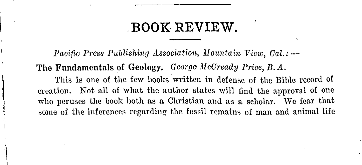# **BOOK REVIEW.**

Pacific Press Publishing Association, Mountain View. Cal.: -The Fundamentals of Geology. George McCready Price. B.A. This is one of the few books written in defense of the Bible record of creation. Not all of what the author states will find the approval of one who peruses the book both as a Christian and as a scholar. We fear that some of the inferences regarding the fossil remains of man and animal life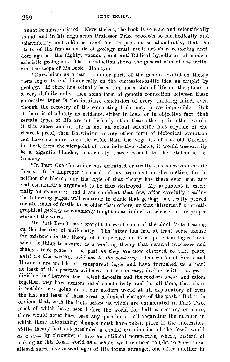cannot be substantiated. Nevertheless, the book is so sane and scientifically sound, and in his arguments Professor Price proceeds so methodically and scientifically and adduces proof for his position so abundantly, that the study of the fundamentals of geology must needs act as a restoring anti- ' dote against the flighty, vacuous, and anti-Biblical hypotheses of modern atheistic geologists. The Introduction shows the general aim of the writer and the scope of his book. He says:  $-$ 

"Darwinism as a part, a minor part, of the general evolution theory rests logically and historically on the succession-of-life idea as taught by geology. If there has actually been this succession of life on the globe in a very definite order, then some form of genetic connection between these successive types is the intuitive conclusion of every thinking mind, even though the recovery of the connecting links may prove impossible. But if there is absolutely no evidence, either in logic or in objective fact, that certain types of life arc intrinsically older than others; in other words, if this succession of life is not an actual scientific fact capable of the clearest proof, then Darwinism or any other form of biological evolution can have no more scientific value than the vagaries of the old Greeks; in short, from the viewpoint of true inductive science, it would necessarily be a gigantic blunder, historically scarce second to the Ptolemaic as· tronomy.

"In Part One the writer has examined critically this succession-of-life theory. It is improper to speak of my argument as destructive, for in neither the history nor the logic of that theory has there ever been any real constructive argument to be thus destroyed. My argument is essen· tially an exposure; and I am confident that few, after carefully reading the following pages, will continue to think that geology has really proved certain kinds of fossils to be older than others, or that 'historical' or stratigraphical geology as commonly taught is an inductive science in any proper sense of the word.

"In Part Two I have brought forward some of the chief facts bearing on, the doctrine of uniformity. The latter has had at least some excuse for existence in the theory of the science, as it is quite the logical and scientific thing to assume as a working theory that natural processes and changes took place in the past as they are now observed to take place, *until we find positive evidence to the contrary.* The works of Suess and Howorth are models of transparent logic and have furnished us a part at least of this positive evidence to the contrary, dealing with 'the great dividing-line' between the ancient deposits and the modern ones; and taken together, they have demonstrated conclusively, and for all time, that there· is nothing now going on in our modern world at all explanatory of even the last and least of these great geological changes of the past. But it is obvious that, with the facts before us which arc enumerated in Part Two, most of which have been before the world for half a century or more, there would never have been any question at all regarding the manner in which these astonishing changes must have taken place if the successionof-life theory had not precluded a candid examination of the fossil world *as a miit* by throwing it into an artificial perspective, where, instead of looking at this fossil world as a whole, we have been taught to view these alleged successive assemblages of life forms arranged one after another in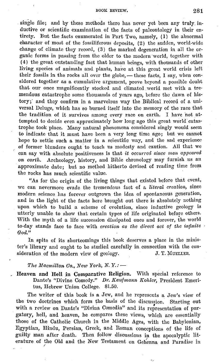#### BOOK REVIEW, 281

. single file; and by these methods there has never yet been any truly. inductive or scientific examination of the facts of paleontology in their entirety. But the facts enumerated in Part Two, namely, (1) the abnormal character of most of the fossiliferous deposits, (2) the sudden, world-wide change of climate they record,  $(3)$  the marked degeneration in all the organic forms in passing from the older to the modern world, together with ( 4) the great outstanding fact that human beings, with thousands of other living species of animals and plants, have at this great world crisis left their fossils in the rocks all over the globe, - these facts, I say, when considered together as a cumulative argument, prove beyond a possible doubt that our once magnificently stocked and climated world met with a tremendous catastrophe some thousands of years ago, before the dawn of history; and they confirm in a marvelous way the Biblical record of a universal Deluge, which has so burned itself into the memory of the race that the tradition of it survives among every race on earth. I have not attempted to decide even approximately how long ago this great world catastrophe took place. Many natural phenomena considered singly would seem to indicate that it must have been a very long time ago; but we cannot hope to settle such a matter in a scientific way, and the sad experience of former blunders ought to teach us modesty and caution. All that we can say with absolute positiveness is that *it occurred since man appeared on earth.* Archeology, history, and Bible chronology may furnish us an approximate date; but no method hitherto devised of reading time from the rocks has much scientific value.

"As for the origin of the living things that existed before that event, we can nevermore evade the tremendous fact of a *literal creation,* since modern science has forever outgrown the idea of spontaneous generation, and in the light of the facts here brought out there is absolutely nothing upon which to build a scheme of evolution, since inductive geology is utterly unable to show that certain types of life originated before others. With the myth of a life succession dissipated once and forever, the world to-day stands face to face with *creation* as the direct act of the infinite  $\cdot$ *God."* 

In spite of its shortcomings this book deserves a place in the minister's library and ought to be studied carefully in. connection with the consideration of the modern view of geology. J. T. MUELLER.

#### *The Macmillan Co., New York, N.Y.: -*

, **Heaven and Hell in Comparative Religion.** With special reference to Dante's "Divine Comedy." *Dr. Kaufmann Kohler*, President Emeritus, Hebrew Union College. \$1.50.

The writer of this book is a Jew, and he represents a Jew's view of the two doctrines which form the basis of the discussion. Starting out with a review on Dante's "Divina Comedia" and its representation of purgatory, hell, and heaven, he compares these views, which are essentially those of the Catholic Church in the Middle Ages, with the Babylonian, Egyptian, Hindu, Persian, Greek, and Roman conceptions of the life of guilty man after death. Then follow discussions in the apocalyptic literature of the Old and the New Testament on Gehenna and Paradise in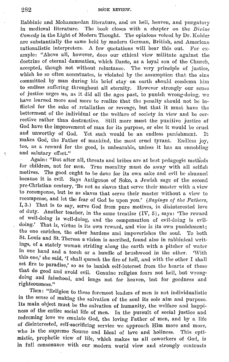Rabbinic and Mohammedan literature, and on hell, heaven, and purgatory in medieval literature. The book closes with a chapter on the *Divine* Comedy in the Light of Modern Thought. The opinions voiced by  $Dr.$  Kohler are substantially the same held by modern German, British, and American rationalistic interpreters. A few quotations will bear this out. For example: "Above all, however, does our ethical view militate against the doctrine of eternal damnation, which Dante, as a loyal son of the Church, accepted, though not without reluctance. The very principle of justice, which he so often accentuates, is violated by the assumption that the sins committed by man during his brief stay on earth should condemn him to endless suffering throughout all eternity. However strongly our sense of justice urges us, as it did all the ages past, to punish wrong-doing, we have learned more and more to realize that the penalty shouid not be inflicted for the sake of. retaliation or revenge, but that it must have the betterment of the individual or the welfare of society in view and he corrective rather than destructive. Still more must the punitive justice of God have the improvement of man for its purpose, or else it would be cruel and unworthy of God. Yet such would be an endless punishment. It makes God, the Father of mankind, the most cruel tyrant. Endless joy, too, as a reward for the good, is unbearable, unless it has an ennobling and salutary effect."

Again: "But after all, threats and bribes are at best pedagogic methods for children, not for men. True morality must do away with all selfish motives. The good ought to he done for its own sake and evil be shunned because it is evil. Says Antigonos of Soko, a Jewish sage of the second pre-Christian century, 'Be not as slaves that serve their master with a view to recompense, but be as slaves that serve their master without a view to recompense, and let the fear of God be upon you.' (Sayings of the Fathers, I, 3.) That is to say, serve God from pure motives, in disinterested love of duty. Another teacher, in the same treatise ( IV, 5), says: 'The reward of well-doing is well-doing, and the compensation of evil-doing is evildoing.' That is, virtue is its own reward, and vice is its own punishment; the one enriches, the other hardens and impoverishes the soul. To both St. Louis and St. Theresa a vision is ascribed, found also in rabbinical writmgs, of a stately woman striding along the earth with a pitcher of water in one hand and a torch or a bundle of brushwood in the other. 'With this one,' she said, 'I shall quench the fire of hell, and with the other I shall set fire to paradise,' so as to banish self-interest from the hearts of those that do good and avoid evil. Genuine religion fears not hell, but wrongdoing and falsehood, and longs not for heaven, but for goodness and righteousness."

Then: "Religion to these foremost leaders of men is not individualistic in the sense of making the salvation of the soul its sole aim and purpose. Its main ohject must be the salvation of humanity, the welfare and happiness of the entire social life of men. In the pursuit of social justice and redeeming love we emulate God, the loving Father of men, and by a life of disinterested, self-sacrificing service we approach Him more and more, who is the supreme Source and Ideal of love and holiness. This optimistic, prophetic view of life, which makes us all coworkers of God, is in full consonance with our modern world view and strongly contrasts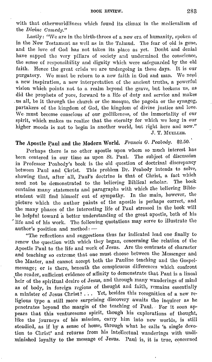with that otherworldliness which found its climax in the medievalism of the *Divine Comedy."* 

Lastly: "We are in the birth-throes of a new era of humanity, spoken of in the New Testament as well as in the Talmud. The fear of old is gone, and the love of God has not taken its place as yet. Doubt and denial have sapped the very pillars of society and undermined the conscience, the sense of responsibility and dignity which were safeguarded hy the old faith. Hence the great crisis we are undergoing in these days. It is our purgatory. We must be reborn to a new faith in God and man. We need a new inspiration, a uew interpretation of the ancient truths, a powerful vision which points not to a realm beyond the grave, hut beckons us, as did the prophets of yore, forward to a life of duty and service and makes us all, be it through the church or the mosque, the pagoda or the synagog, partakers of the kingdom of God, the kingdom of divine justice and Jove. We must become conscious of our godlikeness, of the immortality of our spirit, which makes us realize that the eternity for which we Jong in our higher moods is not to begin in another world, but right here and now." J, T. MUELLER.

# The Apostle Paul and the Modern World. Francis G. Peabody. \$2.50.

Perhaps there is no other apostle upon whom so much interest has been centered in our time as upon St. Paul. The subject of discussion in Professor Peabody's book is the old question of doctrinal discrepancy between Paul and Christ. This problem Dr. Peabody intends to solve, showing that, after all, Paul's doctrine is that of Christ, a fact which need not be demonstrated to the believing Biblical scholar. The book need not be demonstrated to the believing Biblical scholar. contains many statements and paragraphs with which the believing Biblestudent will find himself out of sympathy. In the main, however, the picture which the author paints of the apostle is perhaps correct, and the many phases of the interesting life of Paul stressed in the book will be helpful toward a better understanding of the great apostle, both of his life and of his work. The following quotations may serve to illustrate the  $author's position and method: -$ 

"The reflections and suggestions thus far indicated lead one finally to renew the question with which they began, concerning the relation of the Apostle Paul to the life and work of Jesus. Are the contrasts of character and teaching so extreme that one must choose between the Messenger and the Master, and cannot accept both the Pauline teaching and the Gospelmessage; or is there, beneath the conspicuous differences which confront the reader, sufficient evidence of affinity to demonstrate that Paul is a lineal heir of the spiritual desire of Jesus, and through many wanderings of mind as of body, in foreign regions of thought and faith, remains essentially a minister of Jesus Christ? . . . Yet, besides this recognition of a new religious type a still more surprising discovery awaits the inquirer as he penetrates beyond the margin of the teaching of Paul. For it soon appears that this venturesome spirit, though his explorations of thought, like the journeys of his mission, carry him into new worlds, is still steadied, as if by a sense of home, through what he calls 'a single devotion to Christ' and returns from his intellectual wanderings with undiminished loyalty to the message of Jesus. Paul is, it is true, concerned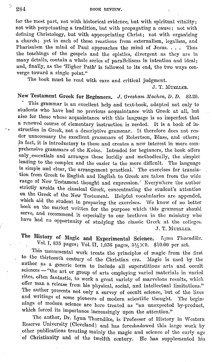for the most part, not with historical evidence, but with spiritual vitality; not with perpetuating a tradition, hut with propagating a cause; not with. defining Christology, but with appropriating Christ; not with organizing a church; yet in each of these reactions from externalism, legalism, and Pharisaism the mind of Paul approaches the mind of Jesus. . . . Thus the teachings of the gospels and the epistles, divergent as they are in many details, contain a whole series of parallelisms in intention and ideal; and, finally, as the 'Higher Path' is followed to its end, the two ways converge toward a single point."

The book must be read with care and critical judgment.

J. T. MUELLER.

#### New Testament Greek for Beginners. J. Gresham Machen, D. D. \$2.20.

This grammar is an excellent help and text-book, adapted not only to students who have had no previous acquaintance with Greek at all, but also for those whose acquaintance with this language is so imperfect that a renewed course of elementary instruction is needed. It is a book of in struction in Greek, not a descriptive grammar. It therefore does not render unnecessary the excellent grammars of Robertson, Blass, and others; in fact, it is introductory to these and creates a new interest in more comprehensive grammars of the *Koine*. Intended for beginners, the book offers only, essentials and arranges these lucidly and methodically, the simpler leading to the complex and the easier to the more difficult. The language is simple and clear, the arrangement practical.' The exercises for translation from Greek to English and English to Greek are taken from the wide range of New Testament thought and expression. Everywhere the author strictly avoids the classical Greek, concentrating the student's attention on the Greek of the New Testament. Helpful vocabularies are appended, which aid the student in preparing the exercises. We know of no better hook on the market written for the purpose which this grammar should serve, and recommend it especially to our brethren in the ministry who have had no opportunity of studying the classic Greek at the colleges. J. T. MUELLER.

The History of Magic and Experimental Science. *Lynn Thorndike*. Vol. I, 835 pages; Vol. II, 1,036 pages,  $5\frac{1}{2} \times 9$ . \$10.00 per set.

This monumental work treats the principles of magic from the first to the thirteenth century of the Christian era. Magic is used by the author as a generic term to include all superstitious arts and occult sciences - "the art or group of arts employing varied materials in varied rites, often fantastic, to work a great variety of marvelous results, which offer man a release from his physical, social, and intellectual limitations." The author presents not only a survey of occult science, but of the lives and writings of some pioneers of modern scientific thought. The beginnings of modern science are here treated as "an unexpected by-product, which forced its importance increasingly upon the attention."

The author, Dr. Lynn Thorndike, is Professor of History in Western Reserve University (Cleveland) aml has foreshadowed this large work by other publications treating mainly the magic and science of the early age of Christianity and of the twelfth century. He has supplemented his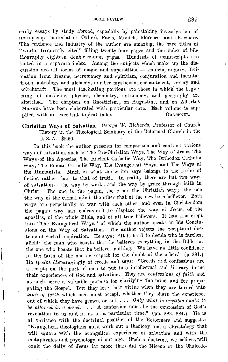#### BOOK REVIEW. 285

early essays by study abroad, especially by painstaking investigation of manuscript material at Oxford, Paris, Munich, Florence, and elsewhere. The patience and industry of the author are amazing, the bare titles of "works frequently cited" filling twenty-four pages and the index of bibliography eighteen double-column pages. Hundreds of manuscripts are listed in a separate index. Among the subjects which make up the discussion are all forms of magic and superstition - amulets, augury, divination from dreams, necromancy and spiritism, conjuration and incantations, astrology and alchemy, number mysticism, enchantment, sorcery and witchcraft. The most fascinating portions are those in which the beginning of medicine, physics, chemistry, astronomy, and geography are sketched. The chapters on Gnosticism, on Augustine, and on Albertus Magnus have been elaborated with particular care. Each volume is supplied with an excellent topical index. GRAEENER.

#### **Christian Ways of Salvation.** George W. Richards, Professor of Church Ilistory in the 'l'heological Seminary of the Heformcll Church in the U. S. A. \$2.50.

In this book the author presents for comparison and contrast various ways of salvation, such as The Pre-Christian Ways, The Way of Jesus, The Ways of the Apostles, The Ancient Catholic Way, The Orthodox Catholic ·way, The Roman Catholic Way, 'l'he Evangelical Ways, and The Ways of the Humanists. Much of what the writer says belongs to the realm of fiction rather than to that of truth. In reality there are but two ways of salvation - the way by works and the way by grace through faith in Christ. The one is the pagan, the other the Christian way; the one the way of the carnal mind, the other that of the new-born believer. Both ways are perpetually at war with each other, and even in Christendom the pagan way has endeavored to displace the way of Jesus, of the apostles, of the whole Bible, and of all true believers. It has also crept into "The Evangelical Ways," of which the author speaks in his Conclusions on the Way of Salvation. The author rejects the Scriptural doctrine of verbal inspiration. He says: "It is hard to decide who is farthest afield: the man who boasts that he believes everything in the Bible, or the one who boasts that he believes nothing. We have as little confidence in the faith of the one as respect for the doubt of the other." (p. 281.) He speaks disparagingly of creeds and says: "Creeds and confessions are attempts on the part of men to put into intellectual and literary forms their experiences of God and salvation. They are confessions of faith and as such serve a valuable purpose for clarifying the mind and for propagating the Gospel. But they lose their virtue when they are turned into laws of faith which men must accept, whether they share the experience out of which tlwy liavc grown, or not. . . . Oniy *what* is *credible* ought to *be allowed in a creed.* . . . A confession must be the expression of God's revelation to us and in us at a particular time." (pp. 283. 284.) He is at variance with the doctrinal position of the Reformers and suggests: "Evangelical theologians must work out a theology and a Christology that will square with the evangelical experience of salvation and with the metaphysics and psychology of our age. Such a doctrine, we believe, 'Will exalt the deity of Jesus far more than did the Nicene or the Chalcedo-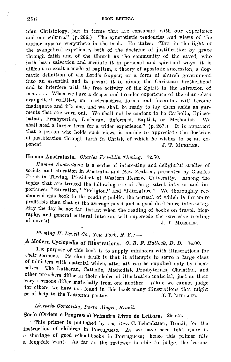nian Christology, but in terms that are consonant with our experience and our culture." (p. 286.) The syncretistic tendencies and views of the author appear everywhere in the book. He states: "But in the light of the evangelical experience, both of the doctrine of justification by grace through faith and of the Church as the community of the saved, who both have salvation and mediate it in personal and spiritual ways, it is difficult to exalt a mode of baptism, a theory of apostolic succession, a dogmatic definition of the Lord's Supper, or a form of church government into an essential and to permit it to divide the Christian brotherhood and to interfere with the free activity of the Spirit in the salvation of men.... When we have a deeper and broader experience of the changeless evangelical realities, our ecclesiastical forms and formulas will become inadequate and irksome, and we shall be ready to lay them aside as garments that are worn out. We shall not be content to be Catholic, Episcopalian, Presbyterian, Lutheran, Reformed, Baptist, or Methodist. We shall need a larger term for a wider experience." (p. 287.) It is apparent that a person who holds such views is unable to appreciate the doctrine of justification through faith in Christ, of which he wishes to be an exponent. s. J. T. MUELLER.

#### Human Australasia. Charles Franklin Thwing. \$2.50.

Human Australasia is a series of interesting and delightful studies of society and education in Australia and New Zealand, presented by Charles Franklin Thwing, President of Western Reserve University. Among the topics that are treated the following are of the greatest interest and importance: "Education," "Religion," and "Literature." We thoroughly recommend this book to the reading public, the perusal of which is far more profitable than that of the average novel and a good deal more interesting. May the day be not far distant when the reading of books on travel, biography, and general cultural interests will supersede the excessive reading of novels! J. T. MUELLER.

# Fleming  $H.$  Revell Co., New York, N.Y.:  $-$

# A Modern Cyclopedia of Illustrations. G. B. F. Hallock, D. D. \$4.00.

The purpose of this book is to supply ministers with illustrations for their sermons. Its chief fault is that it attempts to serve a large class of ministers with material which, after all, can be supplied only by them- $\,$  selves. The Lutheran, Catholic, Methodist, Presbyterian, Christian, and other preachers differ in their choice of illustrative material, just as their very sermons differ materially from one another. While we cannot judge for others, we have not found in this book many illustrations that might be of help to the Lutheran pastor. J. T. MUELLER.

# Livraria Concordia, Porto Alegre, Brazil.

## Serie (Ordem e Progresso) Primeiro Livro de Leitura. 25 cts.

This primer is published by the Rev. C. Lehenbauer, Brazil, for the instruction of children in Portuguese. As we have been told, there is a shortage of good school-books in Portuguese; hence this primer fills a long-felt want. As far as the reviewer is able to judge, the lessons

#### 286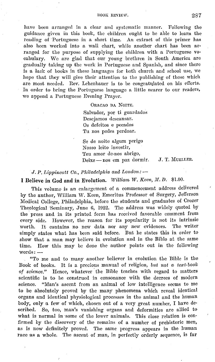have been arranged in a clear and systematic manner. Following the guidance given in this book, the children ought to be able to learn the reading of Portuguese in a short time. An extract of this primer has also been worked into a wall chart, while another chart has been arranged for the purpose of supplying the children with a Portuguese vocabulary. We are glad that our young brethren in South America are gradually taking up the work in Portuguese and Spanish, and since there is a lack of books in these languages for both church and school use, we hope that they will give their attention to the publishing of those which are most needed. Rev. Lehenbauer is to be congratulated on his efforts. In order to bring the Portuguese language a little nearer to our readers, we append a Portuguese Evening Prayer.

> ORACAO DA NOITE. Salvador, por ti guardados Desejamos descansar. Os defeitos e pecados Tu nos podes perdoar.

Se de noite algum pcrigo Nosso lcito invcstir, Teu amor de-nos abrigo, Deixe-nos em paz dormir. J. T. MUELLER.

*J.P. Lippincott Co., Philadelphia and London:*  $-$ 

**I Believe in God and in Evolution.** *William W. Keen, M. D.* \$1.00.

This volume is an enlargement of a commencement address delivered by the author, William W. Keen, Emeritus Professor of Surgery, Jefferson Medical College, Philadelphia, before the students and graduates of Crozer Theological Seminary, June 6, 1922. The address was widely quoted by the press and in its printed form has received favorable comment from every side. However, the reason for its popularity is not its intrinsic worth. It contains no new data nor any new evidences. The writer simply states what has been said before. But he states this in order to show that a man may believe in evolution and in the Bible at the same time. How this may be done the author points out **in** the following  $words: -$ 

"To me aml to many another believer in evolution the Bible is the Book of books. It is a precious manual of religion, *but not a text-book of science."* Hence, whatever 'the Bible teaches with regard to matters scientific is to be construed in consonance with the decrees of modern science. "Man's ascent from an animal of low intelligence seems to me to be absolutely proved by the many phenomena which reveal identical organs and identical physiological processes in the animal and the human body, only a few of which, chosen out of a very great number, I have described. So, too, man's vanishing organs and deformities are allied to what is normal in some of the lower animals. This close relation is confirmed by the discovery of the remains of a number of prehistoric men, as is now definitely proved. The same progress appears in the lmman race as a whole. The ascent of man, in perfectly orderly sequence, is far